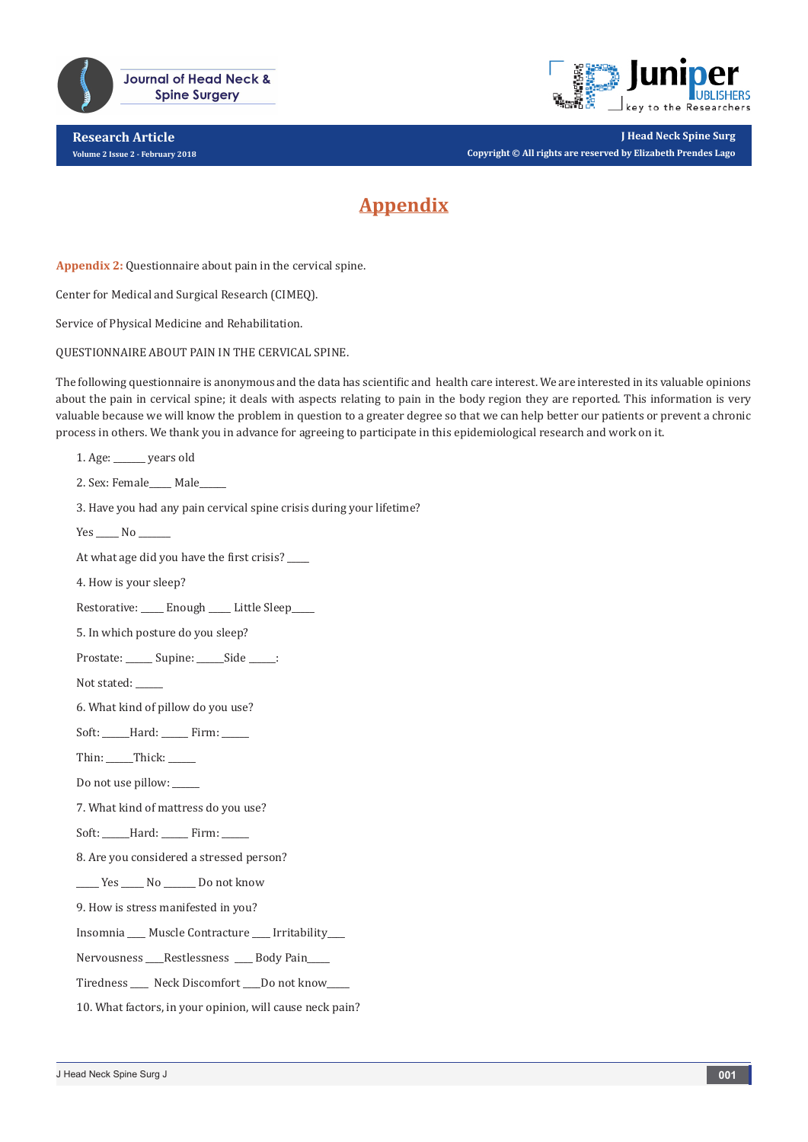

**Journal of Head Neck & Spine Surgery** 

**Research Article Volume 2 Issue 2 - February 2018**



**J Head Neck Spine Surg Copyright © All rights are reserved by Elizabeth Prendes Lago**

## **Appendix**

**Appendix 2:** Questionnaire about pain in the cervical spine.

Center for Medical and Surgical Research (CIMEQ).

Service of Physical Medicine and Rehabilitation.

QUESTIONNAIRE ABOUT PAIN IN THE CERVICAL SPINE.

The following questionnaire is anonymous and the data has scientific and health care interest. We are interested in its valuable opinions about the pain in cervical spine; it deals with aspects relating to pain in the body region they are reported. This information is very valuable because we will know the problem in question to a greater degree so that we can help better our patients or prevent a chronic process in others. We thank you in advance for agreeing to participate in this epidemiological research and work on it.

1. Age: \_\_\_\_\_\_\_ years old

2. Sex: Female\_\_\_\_\_ Male\_\_\_\_\_\_

3. Have you had any pain cervical spine crisis during your lifetime?

Yes No

At what age did you have the first crisis?

4. How is your sleep?

Restorative: \_\_\_\_\_ Enough \_\_\_\_\_ Little Sleep\_\_\_\_\_

5. In which posture do you sleep?

Prostate: \_\_\_\_\_\_ Supine: \_\_\_\_\_\_Side \_\_\_\_\_:

Not stated:

6. What kind of pillow do you use?

Soft: \_\_\_\_\_\_Hard: \_\_\_\_\_\_ Firm: \_\_\_\_\_\_

Thin: Thick:

Do not use pillow:

7. What kind of mattress do you use?

Soft: \_\_\_\_\_\_Hard: \_\_\_\_\_\_ Firm: \_\_\_\_\_\_

8. Are you considered a stressed person?

\_\_\_\_\_ Yes \_\_\_\_\_ No \_\_\_\_\_\_\_ Do not know

9. How is stress manifested in you?

Insomnia \_\_\_\_ Muscle Contracture \_\_\_\_ Irritability\_\_\_\_

Nervousness \_\_\_\_Restlessness \_\_\_\_ Body Pain\_\_\_\_\_

Tiredness \_\_\_\_ Neck Discomfort \_\_\_\_Do not know\_\_\_\_\_

10. What factors, in your opinion, will cause neck pain?